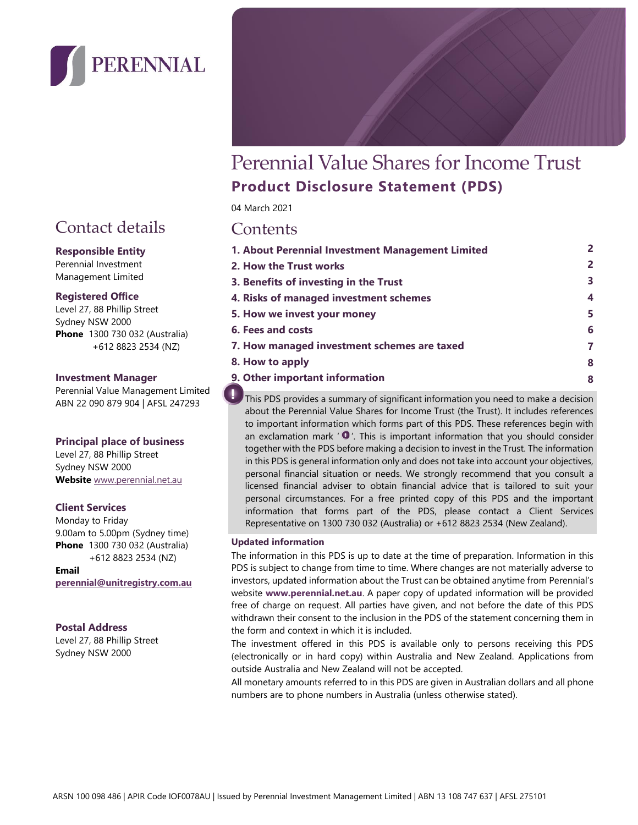

# Contact details

#### **Responsible Entity**

Perennial Investment Management Limited

#### **Registered Office**

Level 27, 88 Phillip Street Sydney NSW 2000 **Phone** 1300 730 032 (Australia) +612 8823 2534 (NZ)

#### **Investment Manager**

Perennial Value Management Limited ABN 22 090 879 904 | AFSL 247293

#### **Principal place of business**

Level 27, 88 Phillip Street Sydney NSW 2000 **Website** [www.perennial.net.au](http://www.perennial.net.au/)

#### **Client Services**

Monday to Friday 9.00am to 5.00pm (Sydney time) **Phone** 1300 730 032 (Australia) +612 8823 2534 (NZ)

**Email perennial@unitregistry.com.au**

#### **Postal Address**

Level 27, 88 Phillip Street Sydney NSW 2000

# Perennial Value Shares for Income Trust **Product Disclosure Statement (PDS)**

04 March 2021 Contents

| <u>COINCLIND</u>                                 |                |
|--------------------------------------------------|----------------|
| 1. About Perennial Investment Management Limited | 2              |
| 2. How the Trust works                           | $\overline{2}$ |
| 3. Benefits of investing in the Trust            | 3              |
| 4. Risks of managed investment schemes           | $\overline{4}$ |
| 5. How we invest your money                      | 5              |
| <b>6. Fees and costs</b>                         | 6              |
| 7. How managed investment schemes are taxed      | 7              |
| 8. How to apply                                  | 8              |
| 9. Other important information                   | 8              |

This PDS provides a summary of significant information you need to make a decision about the Perennial Value Shares for Income Trust (the Trust). It includes references to important information which forms part of this PDS. These references begin with an exclamation mark  $' \bullet'$ . This is important information that you should consider together with the PDS before making a decision to invest in the Trust. The information in this PDS is general information only and does not take into account your objectives, personal financial situation or needs. We strongly recommend that you consult a licensed financial adviser to obtain financial advice that is tailored to suit your personal circumstances. For a free printed copy of this PDS and the important information that forms part of the PDS, please contact a Client Services Representative on 1300 730 032 (Australia) or +612 8823 2534 (New Zealand).

#### **Updated information**

The information in this PDS is up to date at the time of preparation. Information in this PDS is subject to change from time to time. Where changes are not materially adverse to investors, updated information about the Trust can be obtained anytime from Perennial's website **[www.perennial.net.au](https://perennial.net.au/)**. A paper copy of updated information will be provided free of charge on request. All parties have given, and not before the date of this PDS withdrawn their consent to the inclusion in the PDS of the statement concerning them in the form and context in which it is included.

The investment offered in this PDS is available only to persons receiving this PDS (electronically or in hard copy) within Australia and New Zealand. Applications from outside Australia and New Zealand will not be accepted.

All monetary amounts referred to in this PDS are given in Australian dollars and all phone numbers are to phone numbers in Australia (unless otherwise stated).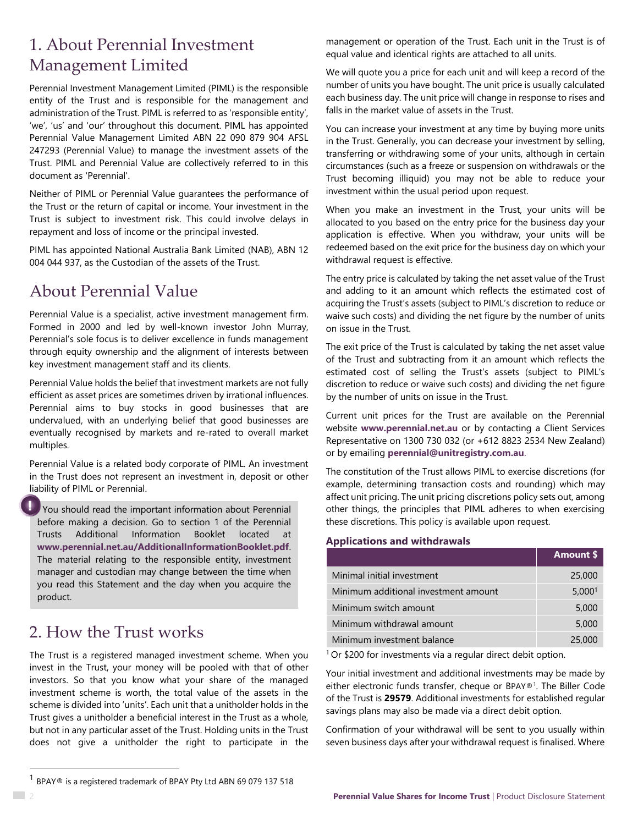# 1. About Perennial Investment Management Limited

Perennial Investment Management Limited (PIML) is the responsible entity of the Trust and is responsible for the management and administration of the Trust. PIML is referred to as 'responsible entity', 'we', 'us' and 'our' throughout this document. PIML has appointed Perennial Value Management Limited ABN 22 090 879 904 AFSL 247293 (Perennial Value) to manage the investment assets of the Trust. PIML and Perennial Value are collectively referred to in this document as 'Perennial'.

Neither of PIML or Perennial Value guarantees the performance of the Trust or the return of capital or income. Your investment in the Trust is subject to investment risk. This could involve delays in repayment and loss of income or the principal invested.

PIML has appointed National Australia Bank Limited (NAB), ABN 12 004 044 937, as the Custodian of the assets of the Trust.

# About Perennial Value

Perennial Value is a specialist, active investment management firm. Formed in 2000 and led by well-known investor John Murray, Perennial's sole focus is to deliver excellence in funds management through equity ownership and the alignment of interests between key investment management staff and its clients.

Perennial Value holds the belief that investment markets are not fully efficient as asset prices are sometimes driven by irrational influences. Perennial aims to buy stocks in good businesses that are undervalued, with an underlying belief that good businesses are eventually recognised by markets and re-rated to overall market multiples.

Perennial Value is a related body corporate of PIML. An investment in the Trust does not represent an investment in, deposit or other liability of PIML or Perennial.

You should read the important information about Perennial before making a decision. Go to section 1 of the Perennial Trusts Additional Information Booklet located at **[www.perennial.net.au/AdditionalInformationBooklet.pdf](file://///hq.local/corp/PVM/Marketing/Factsheets,%20articles,%20brochures,%20Letterhead%20for%20PVM/PDS/Sustainable%20Future%20Trust/www.perennial.net.au/AdditionalInformationBooklet.pdf)**. The material relating to the responsible entity, investment manager and custodian may change between the time when you read this Statement and the day when you acquire the product.

# 2. How the Trust works

The Trust is a registered managed investment scheme. When you invest in the Trust, your money will be pooled with that of other investors. So that you know what your share of the managed investment scheme is worth, the total value of the assets in the scheme is divided into 'units'. Each unit that a unitholder holds in the Trust gives a unitholder a beneficial interest in the Trust as a whole, but not in any particular asset of the Trust. Holding units in the Trust does not give a unitholder the right to participate in the management or operation of the Trust. Each unit in the Trust is of equal value and identical rights are attached to all units.

We will quote you a price for each unit and will keep a record of the number of units you have bought. The unit price is usually calculated each business day. The unit price will change in response to rises and falls in the market value of assets in the Trust.

You can increase your investment at any time by buying more units in the Trust. Generally, you can decrease your investment by selling, transferring or withdrawing some of your units, although in certain circumstances (such as a freeze or suspension on withdrawals or the Trust becoming illiquid) you may not be able to reduce your investment within the usual period upon request.

When you make an investment in the Trust, your units will be allocated to you based on the entry price for the business day your application is effective. When you withdraw, your units will be redeemed based on the exit price for the business day on which your withdrawal request is effective.

The entry price is calculated by taking the net asset value of the Trust and adding to it an amount which reflects the estimated cost of acquiring the Trust's assets (subject to PIML's discretion to reduce or waive such costs) and dividing the net figure by the number of units on issue in the Trust.

The exit price of the Trust is calculated by taking the net asset value of the Trust and subtracting from it an amount which reflects the estimated cost of selling the Trust's assets (subject to PIML's discretion to reduce or waive such costs) and dividing the net figure by the number of units on issue in the Trust.

Current unit prices for the Trust are available on the Perennial website **www.perennial.net.au** or by contacting a Client Services Representative on 1300 730 032 (or +612 8823 2534 New Zealand) or by emailing **perennial@unitregistry.com.au**.

The constitution of the Trust allows PIML to exercise discretions (for example, determining transaction costs and rounding) which may affect unit pricing. The unit pricing discretions policy sets out, among other things, the principles that PIML adheres to when exercising these discretions. This policy is available upon request.

#### **Applications and withdrawals**

|                                      | <b>Amount \$</b>   |
|--------------------------------------|--------------------|
| Minimal initial investment           | 25,000             |
| Minimum additional investment amount | 5,000 <sup>1</sup> |
| Minimum switch amount                | 5,000              |
| Minimum withdrawal amount            | 5,000              |
| Minimum investment balance           | 25,000             |

<sup>1</sup> Or \$200 for investments via a regular direct debit option.

Your initial investment and additional investments may be made by either electronic funds transfer, cheque or BPAY®<sup>1</sup> . The Biller Code of the Trust is **29579**. Additional investments for established regular savings plans may also be made via a direct debit option.

Confirmation of your withdrawal will be sent to you usually within seven business days after your withdrawal request is finalised. Where

 $1$  BPAY® is a registered trademark of BPAY Pty Ltd ABN 69 079 137 518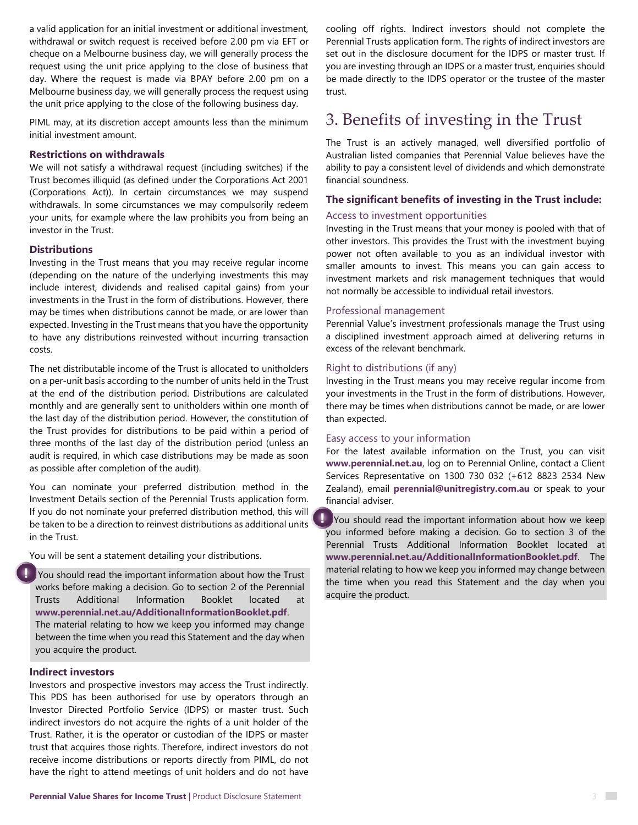a valid application for an initial investment or additional investment, withdrawal or switch request is received before 2.00 pm via EFT or cheque on a Melbourne business day, we will generally process the request using the unit price applying to the close of business that day. Where the request is made via BPAY before 2.00 pm on a Melbourne business day, we will generally process the request using the unit price applying to the close of the following business day.

PIML may, at its discretion accept amounts less than the minimum initial investment amount.

#### **Restrictions on withdrawals**

We will not satisfy a withdrawal request (including switches) if the Trust becomes illiquid (as defined under the Corporations Act 2001 (Corporations Act)). In certain circumstances we may suspend withdrawals. In some circumstances we may compulsorily redeem your units, for example where the law prohibits you from being an investor in the Trust.

#### **Distributions**

Investing in the Trust means that you may receive regular income (depending on the nature of the underlying investments this may include interest, dividends and realised capital gains) from your investments in the Trust in the form of distributions. However, there may be times when distributions cannot be made, or are lower than expected. Investing in the Trust means that you have the opportunity to have any distributions reinvested without incurring transaction costs.

The net distributable income of the Trust is allocated to unitholders on a per-unit basis according to the number of units held in the Trust at the end of the distribution period. Distributions are calculated monthly and are generally sent to unitholders within one month of the last day of the distribution period. However, the constitution of the Trust provides for distributions to be paid within a period of three months of the last day of the distribution period (unless an audit is required, in which case distributions may be made as soon as possible after completion of the audit).

You can nominate your preferred distribution method in the Investment Details section of the Perennial Trusts application form. If you do not nominate your preferred distribution method, this will be taken to be a direction to reinvest distributions as additional units in the Trust.

You will be sent a statement detailing your distributions.

You should read the important information about how the Trust works before making a decision. Go to section 2 of the Perennial Trusts Additional Information Booklet located at **www.perennial.net.au/AdditionalInformationBooklet.pdf**. The material relating to how we keep you informed may change between the time when you read this Statement and the day when you acquire the product.

#### **Indirect investors**

Investors and prospective investors may access the Trust indirectly. This PDS has been authorised for use by operators through an Investor Directed Portfolio Service (IDPS) or master trust. Such indirect investors do not acquire the rights of a unit holder of the Trust. Rather, it is the operator or custodian of the IDPS or master trust that acquires those rights. Therefore, indirect investors do not receive income distributions or reports directly from PIML, do not have the right to attend meetings of unit holders and do not have cooling off rights. Indirect investors should not complete the Perennial Trusts application form. The rights of indirect investors are set out in the disclosure document for the IDPS or master trust. If you are investing through an IDPS or a master trust, enquiries should be made directly to the IDPS operator or the trustee of the master trust.

### 3. Benefits of investing in the Trust

The Trust is an actively managed, well diversified portfolio of Australian listed companies that Perennial Value believes have the ability to pay a consistent level of dividends and which demonstrate financial soundness.

#### **The significant benefits of investing in the Trust include:**

#### Access to investment opportunities

Investing in the Trust means that your money is pooled with that of other investors. This provides the Trust with the investment buying power not often available to you as an individual investor with smaller amounts to invest. This means you can gain access to investment markets and risk management techniques that would not normally be accessible to individual retail investors.

#### Professional management

Perennial Value's investment professionals manage the Trust using a disciplined investment approach aimed at delivering returns in excess of the relevant benchmark.

#### Right to distributions (if any)

Investing in the Trust means you may receive regular income from your investments in the Trust in the form of distributions. However, there may be times when distributions cannot be made, or are lower than expected.

#### Easy access to your information

For the latest available information on the Trust, you can visit **www.perennial.net.au**, log on to Perennial Online, contact a Client Services Representative on 1300 730 032 (+612 8823 2534 New Zealand), email **[perennial@unitregistry.com.au](mailto:perennial@unitregistry.com.au)** or speak to your financial adviser.

۰ You should read the important information about how we keep you informed before making a decision. Go to section 3 of the Perennial Trusts Additional Information Booklet located at **www.perennial.net.au/AdditionalInformationBooklet.pdf**. The material relating to how we keep you informed may change between the time when you read this Statement and the day when you acquire the product.

 $\mathcal{L}^{\text{max}}$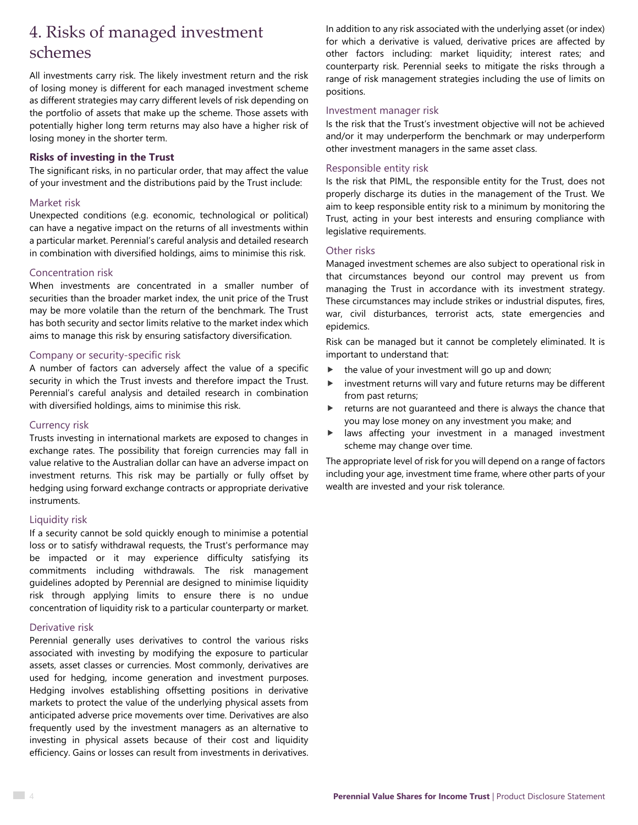# 4. Risks of managed investment schemes

All investments carry risk. The likely investment return and the risk of losing money is different for each managed investment scheme as different strategies may carry different levels of risk depending on the portfolio of assets that make up the scheme. Those assets with potentially higher long term returns may also have a higher risk of losing money in the shorter term.

#### **Risks of investing in the Trust**

The significant risks, in no particular order, that may affect the value of your investment and the distributions paid by the Trust include:

#### Market risk

Unexpected conditions (e.g. economic, technological or political) can have a negative impact on the returns of all investments within a particular market. Perennial's careful analysis and detailed research in combination with diversified holdings, aims to minimise this risk.

#### Concentration risk

When investments are concentrated in a smaller number of securities than the broader market index, the unit price of the Trust may be more volatile than the return of the benchmark. The Trust has both security and sector limits relative to the market index which aims to manage this risk by ensuring satisfactory diversification.

#### Company or security-specific risk

A number of factors can adversely affect the value of a specific security in which the Trust invests and therefore impact the Trust. Perennial's careful analysis and detailed research in combination with diversified holdings, aims to minimise this risk.

#### Currency risk

Trusts investing in international markets are exposed to changes in exchange rates. The possibility that foreign currencies may fall in value relative to the Australian dollar can have an adverse impact on investment returns. This risk may be partially or fully offset by hedging using forward exchange contracts or appropriate derivative instruments.

#### Liquidity risk

If a security cannot be sold quickly enough to minimise a potential loss or to satisfy withdrawal requests, the Trust's performance may be impacted or it may experience difficulty satisfying its commitments including withdrawals. The risk management guidelines adopted by Perennial are designed to minimise liquidity risk through applying limits to ensure there is no undue concentration of liquidity risk to a particular counterparty or market.

#### Derivative risk

Perennial generally uses derivatives to control the various risks associated with investing by modifying the exposure to particular assets, asset classes or currencies. Most commonly, derivatives are used for hedging, income generation and investment purposes. Hedging involves establishing offsetting positions in derivative markets to protect the value of the underlying physical assets from anticipated adverse price movements over time. Derivatives are also frequently used by the investment managers as an alternative to investing in physical assets because of their cost and liquidity efficiency. Gains or losses can result from investments in derivatives. In addition to any risk associated with the underlying asset (or index) for which a derivative is valued, derivative prices are affected by other factors including: market liquidity; interest rates; and counterparty risk. Perennial seeks to mitigate the risks through a range of risk management strategies including the use of limits on positions.

#### Investment manager risk

Is the risk that the Trust's investment objective will not be achieved and/or it may underperform the benchmark or may underperform other investment managers in the same asset class.

#### Responsible entity risk

Is the risk that PIML, the responsible entity for the Trust, does not properly discharge its duties in the management of the Trust. We aim to keep responsible entity risk to a minimum by monitoring the Trust, acting in your best interests and ensuring compliance with legislative requirements.

#### Other risks

Managed investment schemes are also subject to operational risk in that circumstances beyond our control may prevent us from managing the Trust in accordance with its investment strategy. These circumstances may include strikes or industrial disputes, fires, war, civil disturbances, terrorist acts, state emergencies and epidemics.

Risk can be managed but it cannot be completely eliminated. It is important to understand that:

- $\blacktriangleright$  the value of your investment will go up and down;
- investment returns will vary and future returns may be different from past returns;
- returns are not guaranteed and there is always the chance that you may lose money on any investment you make; and
- laws affecting your investment in a managed investment scheme may change over time.

The appropriate level of risk for you will depend on a range of factors including your age, investment time frame, where other parts of your wealth are invested and your risk tolerance.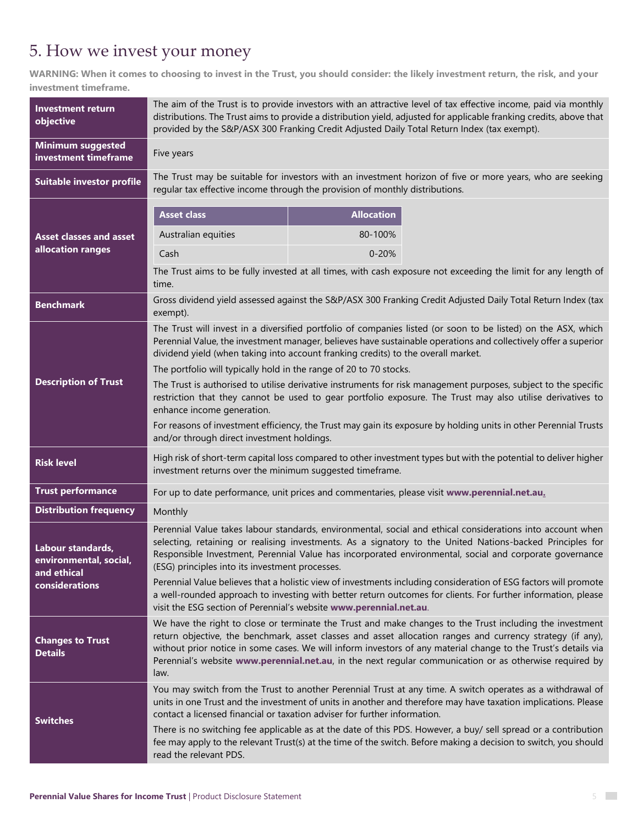# 5. How we invest your money

**WARNING: When it comes to choosing to invest in the Trust, you should consider: the likely investment return, the risk, and your investment timeframe.**

| <b>Investment return</b><br>objective                      | The aim of the Trust is to provide investors with an attractive level of tax effective income, paid via monthly<br>distributions. The Trust aims to provide a distribution yield, adjusted for applicable franking credits, above that<br>provided by the S&P/ASX 300 Franking Credit Adjusted Daily Total Return Index (tax exempt).                                                                                                                       |                                                                                                                                                                                                                                                                                                                                    |  |  |
|------------------------------------------------------------|-------------------------------------------------------------------------------------------------------------------------------------------------------------------------------------------------------------------------------------------------------------------------------------------------------------------------------------------------------------------------------------------------------------------------------------------------------------|------------------------------------------------------------------------------------------------------------------------------------------------------------------------------------------------------------------------------------------------------------------------------------------------------------------------------------|--|--|
| <b>Minimum suggested</b><br>investment timeframe           | Five years                                                                                                                                                                                                                                                                                                                                                                                                                                                  |                                                                                                                                                                                                                                                                                                                                    |  |  |
| Suitable investor profile                                  |                                                                                                                                                                                                                                                                                                                                                                                                                                                             | The Trust may be suitable for investors with an investment horizon of five or more years, who are seeking<br>regular tax effective income through the provision of monthly distributions.                                                                                                                                          |  |  |
|                                                            | <b>Asset class</b>                                                                                                                                                                                                                                                                                                                                                                                                                                          | <b>Allocation</b>                                                                                                                                                                                                                                                                                                                  |  |  |
| <b>Asset classes and asset</b>                             | Australian equities                                                                                                                                                                                                                                                                                                                                                                                                                                         | 80-100%                                                                                                                                                                                                                                                                                                                            |  |  |
| allocation ranges                                          | Cash                                                                                                                                                                                                                                                                                                                                                                                                                                                        | $0 - 20%$                                                                                                                                                                                                                                                                                                                          |  |  |
|                                                            | The Trust aims to be fully invested at all times, with cash exposure not exceeding the limit for any length of<br>time.                                                                                                                                                                                                                                                                                                                                     |                                                                                                                                                                                                                                                                                                                                    |  |  |
| <b>Benchmark</b>                                           | exempt).                                                                                                                                                                                                                                                                                                                                                                                                                                                    | Gross dividend yield assessed against the S&P/ASX 300 Franking Credit Adjusted Daily Total Return Index (tax                                                                                                                                                                                                                       |  |  |
|                                                            | The Trust will invest in a diversified portfolio of companies listed (or soon to be listed) on the ASX, which<br>Perennial Value, the investment manager, believes have sustainable operations and collectively offer a superior<br>dividend yield (when taking into account franking credits) to the overall market.                                                                                                                                       |                                                                                                                                                                                                                                                                                                                                    |  |  |
| <b>Description of Trust</b>                                | The portfolio will typically hold in the range of 20 to 70 stocks.<br>The Trust is authorised to utilise derivative instruments for risk management purposes, subject to the specific<br>restriction that they cannot be used to gear portfolio exposure. The Trust may also utilise derivatives to<br>enhance income generation.                                                                                                                           |                                                                                                                                                                                                                                                                                                                                    |  |  |
|                                                            | For reasons of investment efficiency, the Trust may gain its exposure by holding units in other Perennial Trusts<br>and/or through direct investment holdings.                                                                                                                                                                                                                                                                                              |                                                                                                                                                                                                                                                                                                                                    |  |  |
| <b>Risk level</b>                                          | High risk of short-term capital loss compared to other investment types but with the potential to deliver higher<br>investment returns over the minimum suggested timeframe.                                                                                                                                                                                                                                                                                |                                                                                                                                                                                                                                                                                                                                    |  |  |
| <b>Trust performance</b>                                   | For up to date performance, unit prices and commentaries, please visit www.perennial.net.au.                                                                                                                                                                                                                                                                                                                                                                |                                                                                                                                                                                                                                                                                                                                    |  |  |
| <b>Distribution frequency</b>                              | Monthly                                                                                                                                                                                                                                                                                                                                                                                                                                                     |                                                                                                                                                                                                                                                                                                                                    |  |  |
| Labour standards,<br>environmental, social,<br>and ethical | (ESG) principles into its investment processes.                                                                                                                                                                                                                                                                                                                                                                                                             | Perennial Value takes labour standards, environmental, social and ethical considerations into account when<br>selecting, retaining or realising investments. As a signatory to the United Nations-backed Principles for<br>Responsible Investment, Perennial Value has incorporated environmental, social and corporate governance |  |  |
| considerations                                             | Perennial Value believes that a holistic view of investments including consideration of ESG factors will promote<br>a well-rounded approach to investing with better return outcomes for clients. For further information, please<br>visit the ESG section of Perennial's website www.perennial.net.au.                                                                                                                                                     |                                                                                                                                                                                                                                                                                                                                    |  |  |
| <b>Changes to Trust</b><br><b>Details</b>                  | We have the right to close or terminate the Trust and make changes to the Trust including the investment<br>return objective, the benchmark, asset classes and asset allocation ranges and currency strategy (if any),<br>without prior notice in some cases. We will inform investors of any material change to the Trust's details via<br>Perennial's website www.perennial.net.au, in the next regular communication or as otherwise required by<br>law. |                                                                                                                                                                                                                                                                                                                                    |  |  |
| <b>Switches</b>                                            | You may switch from the Trust to another Perennial Trust at any time. A switch operates as a withdrawal of<br>units in one Trust and the investment of units in another and therefore may have taxation implications. Please<br>contact a licensed financial or taxation adviser for further information.                                                                                                                                                   |                                                                                                                                                                                                                                                                                                                                    |  |  |
|                                                            | read the relevant PDS.                                                                                                                                                                                                                                                                                                                                                                                                                                      | There is no switching fee applicable as at the date of this PDS. However, a buy/ sell spread or a contribution<br>fee may apply to the relevant Trust(s) at the time of the switch. Before making a decision to switch, you should                                                                                                 |  |  |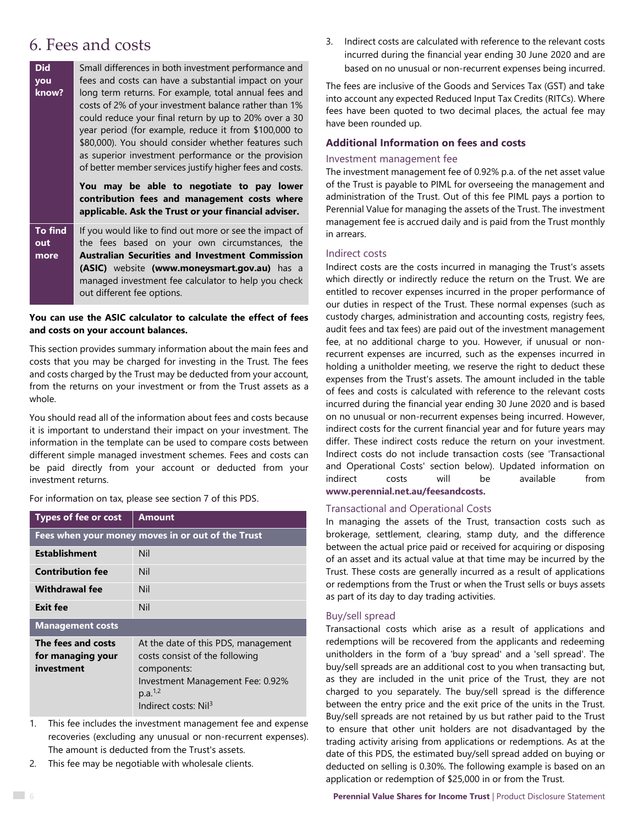## 6. Fees and costs

| <b>Did</b><br>you<br>know? | Small differences in both investment performance and<br>fees and costs can have a substantial impact on your<br>long term returns. For example, total annual fees and<br>costs of 2% of your investment balance rather than 1%<br>could reduce your final return by up to 20% over a 30<br>year period (for example, reduce it from \$100,000 to<br>\$80,000). You should consider whether features such<br>as superior investment performance or the provision |  |  |
|----------------------------|-----------------------------------------------------------------------------------------------------------------------------------------------------------------------------------------------------------------------------------------------------------------------------------------------------------------------------------------------------------------------------------------------------------------------------------------------------------------|--|--|
|                            | of better member services justify higher fees and costs.<br>You may be able to negotiate to pay lower<br>contribution fees and management costs where<br>applicable. Ask the Trust or your financial adviser.                                                                                                                                                                                                                                                   |  |  |
| To find<br>out<br>more     | If you would like to find out more or see the impact of<br>the fees based on your own circumstances, the<br><b>Australian Securities and Investment Commission</b><br>(ASIC) website (www.moneysmart.gov.au) has a<br>managed investment fee calculator to help you check<br>out different fee options.                                                                                                                                                         |  |  |

#### **You can use the ASIC calculator to calculate the effect of fees and costs on your account balances.**

This section provides summary information about the main fees and costs that you may be charged for investing in the Trust. The fees and costs charged by the Trust may be deducted from your account, from the returns on your investment or from the Trust assets as a whole.

You should read all of the information about fees and costs because it is important to understand their impact on your investment. The information in the template can be used to compare costs between different simple managed investment schemes. Fees and costs can be paid directly from your account or deducted from your investment returns.

| For information on tax, please see section 7 of this PDS. |  |  |  |
|-----------------------------------------------------------|--|--|--|
|                                                           |  |  |  |

| <b>Types of fee or cost</b>                           | <b>Amount</b>                                                                                                                                                                       |
|-------------------------------------------------------|-------------------------------------------------------------------------------------------------------------------------------------------------------------------------------------|
|                                                       | Fees when your money moves in or out of the Trust                                                                                                                                   |
| <b>Establishment</b>                                  | Nil                                                                                                                                                                                 |
| <b>Contribution fee</b>                               | Nil                                                                                                                                                                                 |
| <b>Withdrawal fee</b>                                 | Nil                                                                                                                                                                                 |
| <b>Exit fee</b>                                       | Nil                                                                                                                                                                                 |
| <b>Management costs</b>                               |                                                                                                                                                                                     |
| The fees and costs<br>for managing your<br>investment | At the date of this PDS, management<br>costs consist of the following<br>components:<br>Investment Management Fee: 0.92%<br>p.a. <sup>1,2</sup><br>Indirect costs: Nil <sup>3</sup> |

- 1. This fee includes the investment management fee and expense recoveries (excluding any unusual or non-recurrent expenses). The amount is deducted from the Trust's assets.
- 2. This fee may be negotiable with wholesale clients.

3. Indirect costs are calculated with reference to the relevant costs incurred during the financial year ending 30 June 2020 and are based on no unusual or non-recurrent expenses being incurred.

The fees are inclusive of the Goods and Services Tax (GST) and take into account any expected Reduced Input Tax Credits (RITCs). Where fees have been quoted to two decimal places, the actual fee may have been rounded up.

#### **Additional Information on fees and costs**

#### Investment management fee

The investment management fee of 0.92% p.a. of the net asset value of the Trust is payable to PIML for overseeing the management and administration of the Trust. Out of this fee PIML pays a portion to Perennial Value for managing the assets of the Trust. The investment management fee is accrued daily and is paid from the Trust monthly in arrears.

#### Indirect costs

Indirect costs are the costs incurred in managing the Trust's assets which directly or indirectly reduce the return on the Trust. We are entitled to recover expenses incurred in the proper performance of our duties in respect of the Trust. These normal expenses (such as custody charges, administration and accounting costs, registry fees, audit fees and tax fees) are paid out of the investment management fee, at no additional charge to you. However, if unusual or nonrecurrent expenses are incurred, such as the expenses incurred in holding a unitholder meeting, we reserve the right to deduct these expenses from the Trust's assets. The amount included in the table of fees and costs is calculated with reference to the relevant costs incurred during the financial year ending 30 June 2020 and is based on no unusual or non-recurrent expenses being incurred. However, indirect costs for the current financial year and for future years may differ. These indirect costs reduce the return on your investment. Indirect costs do not include transaction costs (see 'Transactional and Operational Costs' section below). Updated information on indirect costs will be available from **www.perennial.net.au/feesandcosts.**

# Transactional and Operational Costs

### In managing the assets of the Trust, transaction costs such as brokerage, settlement, clearing, stamp duty, and the difference

between the actual price paid or received for acquiring or disposing of an asset and its actual value at that time may be incurred by the Trust. These costs are generally incurred as a result of applications or redemptions from the Trust or when the Trust sells or buys assets as part of its day to day trading activities.

#### Buy/sell spread

Transactional costs which arise as a result of applications and redemptions will be recovered from the applicants and redeeming unitholders in the form of a 'buy spread' and a 'sell spread'. The buy/sell spreads are an additional cost to you when transacting but, as they are included in the unit price of the Trust, they are not charged to you separately. The buy/sell spread is the difference between the entry price and the exit price of the units in the Trust. Buy/sell spreads are not retained by us but rather paid to the Trust to ensure that other unit holders are not disadvantaged by the trading activity arising from applications or redemptions. As at the date of this PDS, the estimated buy/sell spread added on buying or deducted on selling is 0.30%. The following example is based on an application or redemption of \$25,000 in or from the Trust.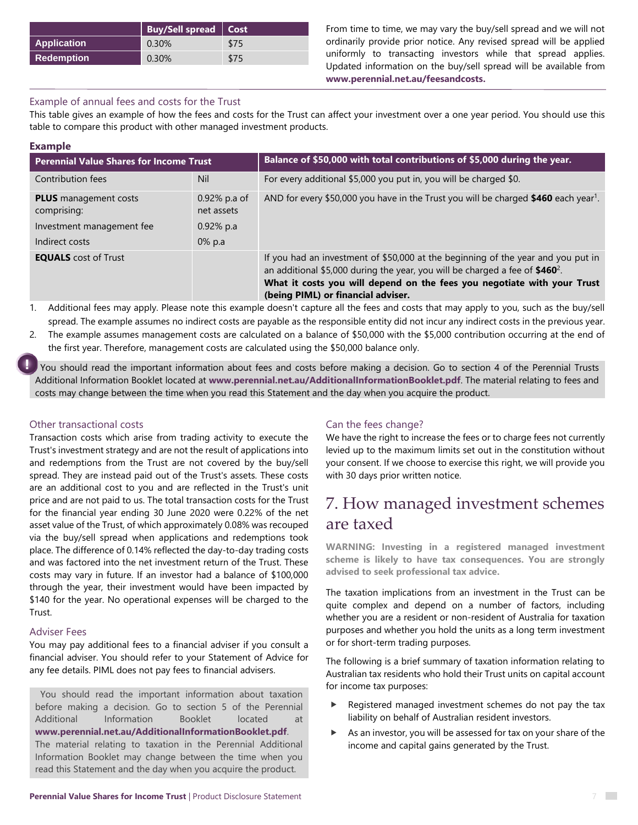|                    | <b>Buy/Sell spread   Cost</b> |      |
|--------------------|-------------------------------|------|
| <b>Application</b> | 0.30%                         | \$75 |
| <b>Redemption</b>  | 0.30%                         | \$75 |

From time to time, we may vary the buy/sell spread and we will not ordinarily provide prior notice. Any revised spread will be applied uniformly to transacting investors while that spread applies. Updated information on the buy/sell spread will be available from **[www.perennial.net.au/feesandcosts.](http://www.perennial.net.au/feesandcosts)**

#### Example of annual fees and costs for the Trust

This table gives an example of how the fees and costs for the Trust can affect your investment over a one year period. You should use this table to compare this product with other managed investment products.

| <b>Example</b>                                                                             |                                                            |                                                                                                                                                                                                                                                                                     |  |
|--------------------------------------------------------------------------------------------|------------------------------------------------------------|-------------------------------------------------------------------------------------------------------------------------------------------------------------------------------------------------------------------------------------------------------------------------------------|--|
| <b>Perennial Value Shares for Income Trust</b>                                             |                                                            | Balance of \$50,000 with total contributions of \$5,000 during the year.                                                                                                                                                                                                            |  |
| Contribution fees                                                                          | Nil                                                        | For every additional \$5,000 you put in, you will be charged \$0.                                                                                                                                                                                                                   |  |
| <b>PLUS</b> management costs<br>comprising:<br>Investment management fee<br>Indirect costs | $0.92\%$ p.a of<br>net assets<br>$0.92\%$ p.a<br>$0\%$ p.a | AND for every \$50,000 you have in the Trust you will be charged \$460 each year <sup>1</sup> .                                                                                                                                                                                     |  |
| <b>EQUALS</b> cost of Trust                                                                |                                                            | If you had an investment of \$50,000 at the beginning of the year and you put in<br>an additional \$5,000 during the year, you will be charged a fee of $$460^2$ .<br>What it costs you will depend on the fees you negotiate with your Trust<br>(being PIML) or financial adviser. |  |

1. Additional fees may apply. Please note this example doesn't capture all the fees and costs that may apply to you, such as the buy/sell spread. The example assumes no indirect costs are payable as the responsible entity did not incur any indirect costs in the previous year.

2. The example assumes management costs are calculated on a balance of \$50,000 with the \$5,000 contribution occurring at the end of the first year. Therefore, management costs are calculated using the \$50,000 balance only.

You should read the important information about fees and costs before making a decision. Go to section 4 of the Perennial Trusts Additional Information Booklet located at **www.perennial.net.au/AdditionalInformationBooklet.pdf**. The material relating to fees and costs may change between the time when you read this Statement and the day when you acquire the product.

#### Other transactional costs

Transaction costs which arise from trading activity to execute the Trust's investment strategy and are not the result of applications into and redemptions from the Trust are not covered by the buy/sell spread. They are instead paid out of the Trust's assets. These costs are an additional cost to you and are reflected in the Trust's unit price and are not paid to us. The total transaction costs for the Trust for the financial year ending 30 June 2020 were 0.22% of the net asset value of the Trust, of which approximately 0.08% was recouped via the buy/sell spread when applications and redemptions took place. The difference of 0.14% reflected the day-to-day trading costs and was factored into the net investment return of the Trust. These costs may vary in future. If an investor had a balance of \$100,000 through the year, their investment would have been impacted by \$140 for the year. No operational expenses will be charged to the Trust.

#### Adviser Fees

You may pay additional fees to a financial adviser if you consult a financial adviser. You should refer to your Statement of Advice for any fee details. PIML does not pay fees to financial advisers.

You should read the important information about taxation before making a decision. Go to section 5 of the Perennial Additional Information Booklet located at **www.perennial.net.au/AdditionalInformationBooklet.pdf**. The material relating to taxation in the Perennial Additional

Information Booklet may change between the time when you read this Statement and the day when you acquire the product.

#### Can the fees change?

We have the right to increase the fees or to charge fees not currently levied up to the maximum limits set out in the constitution without your consent. If we choose to exercise this right, we will provide you with 30 days prior written notice.

# 7. How managed investment schemes are taxed

**WARNING: Investing in a registered managed investment scheme is likely to have tax consequences. You are strongly advised to seek professional tax advice.**

The taxation implications from an investment in the Trust can be quite complex and depend on a number of factors, including whether you are a resident or non-resident of Australia for taxation purposes and whether you hold the units as a long term investment or for short-term trading purposes.

The following is a brief summary of taxation information relating to Australian tax residents who hold their Trust units on capital account for income tax purposes:

- Registered managed investment schemes do not pay the tax liability on behalf of Australian resident investors.
- As an investor, you will be assessed for tax on your share of the income and capital gains generated by the Trust.